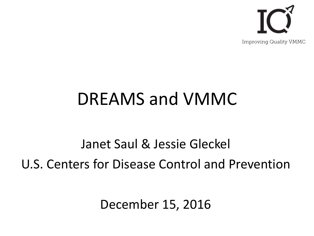

# DREAMS and VMMC

Janet Saul & Jessie Gleckel U.S. Centers for Disease Control and Prevention

December 15, 2016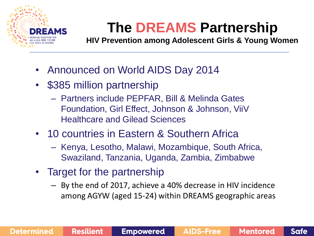

### **The DREAMS Partnership**

**HIV Prevention among Adolescent Girls & Young Women**

- Announced on World AIDS Day 2014
- \$385 million partnership
	- Partners include PEPFAR, Bill & Melinda Gates Foundation, Girl Effect, Johnson & Johnson, ViiV Healthcare and Gilead Sciences
- 10 countries in Eastern & Southern Africa
	- Kenya, Lesotho, Malawi, Mozambique, South Africa, Swaziland, Tanzania, Uganda, Zambia, Zimbabwe
- Target for the partnership
	- By the end of 2017, achieve a 40% decrease in HIV incidence among AGYW (aged 15-24) within DREAMS geographic areas

**Determined**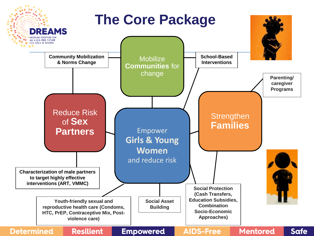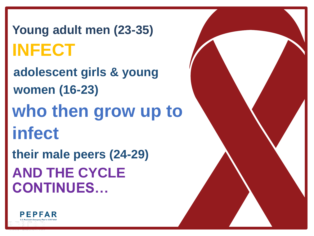**Young adult men (23-35) INFECT**

**adolescent girls & young women (16-23) who then grow up to infect their male peers (24-29) AND THE CYCLE** 

**CONTINUES…**



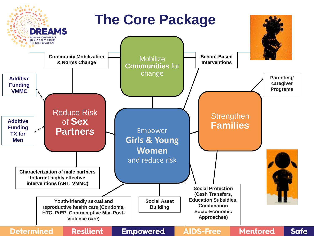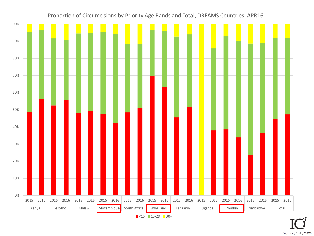

#### Proportion of Circumcisions by Priority Age Bands and Total, DREAMS Countries, APR16

**Improving Quality VMMC**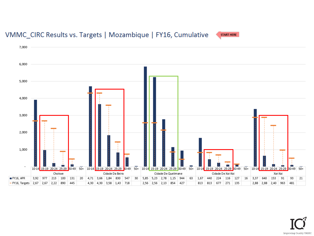#### VMMC\_CIRC Results vs. Targets | Mozambique | FY16, Cumulative



**START HERE** 

## Improving Quality VMMC